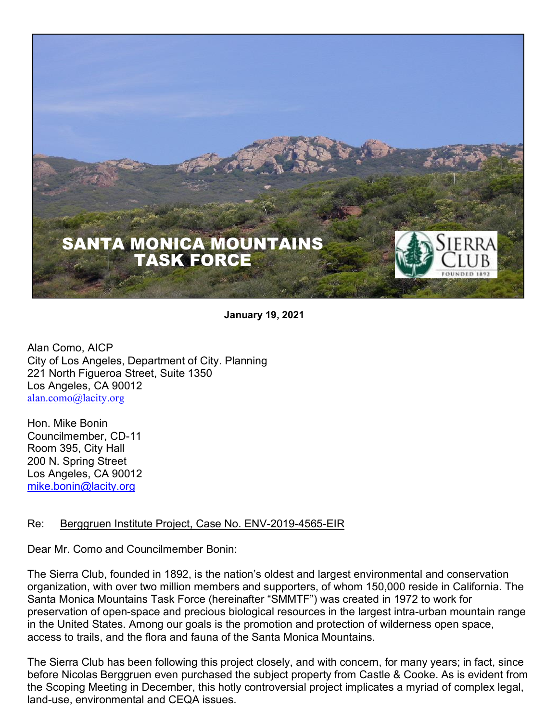

**January 19, 2021**

Alan Como, AICP City of Los Angeles, Department of City. Planning 221 North Figueroa Street, Suite 1350 Los Angeles, CA 90012 alan.como@lacity.org

Hon. Mike Bonin Councilmember, CD-11 Room 395, City Hall 200 N. Spring Street Los Angeles, CA 90012 mike.bonin@lacity.org

### Re: Berggruen Institute Project, Case No. ENV-2019-4565-EIR

Dear Mr. Como and Councilmember Bonin:

The Sierra Club, founded in 1892, is the nation's oldest and largest environmental and conservation organization, with over two million members and supporters, of whom 150,000 reside in California. The Santa Monica Mountains Task Force (hereinafter "SMMTF") was created in 1972 to work for preservation of open-space and precious biological resources in the largest intra-urban mountain range in the United States. Among our goals is the promotion and protection of wilderness open space, access to trails, and the flora and fauna of the Santa Monica Mountains.

The Sierra Club has been following this project closely, and with concern, for many years; in fact, since before Nicolas Berggruen even purchased the subject property from Castle & Cooke. As is evident from the Scoping Meeting in December, this hotly controversial project implicates a myriad of complex legal, land-use, environmental and CEQA issues.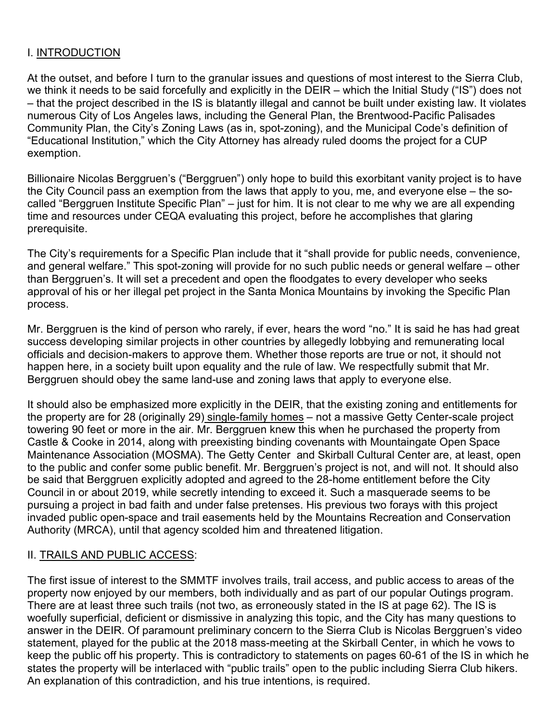## I. INTRODUCTION

At the outset, and before I turn to the granular issues and questions of most interest to the Sierra Club, we think it needs to be said forcefully and explicitly in the DEIR – which the Initial Study ("IS") does not – that the project described in the IS is blatantly illegal and cannot be built under existing law. It violates numerous City of Los Angeles laws, including the General Plan, the Brentwood-Pacific Palisades Community Plan, the City's Zoning Laws (as in, spot-zoning), and the Municipal Code's definition of "Educational Institution," which the City Attorney has already ruled dooms the project for a CUP exemption.

Billionaire Nicolas Berggruen's ("Berggruen") only hope to build this exorbitant vanity project is to have the City Council pass an exemption from the laws that apply to you, me, and everyone else – the socalled "Berggruen Institute Specific Plan" – just for him. It is not clear to me why we are all expending time and resources under CEQA evaluating this project, before he accomplishes that glaring prerequisite.

The City's requirements for a Specific Plan include that it "shall provide for public needs, convenience, and general welfare." This spot-zoning will provide for no such public needs or general welfare – other than Berggruen's. It will set a precedent and open the floodgates to every developer who seeks approval of his or her illegal pet project in the Santa Monica Mountains by invoking the Specific Plan process.

Mr. Berggruen is the kind of person who rarely, if ever, hears the word "no." It is said he has had great success developing similar projects in other countries by allegedly lobbying and remunerating local officials and decision-makers to approve them. Whether those reports are true or not, it should not happen here, in a society built upon equality and the rule of law. We respectfully submit that Mr. Berggruen should obey the same land-use and zoning laws that apply to everyone else.

It should also be emphasized more explicitly in the DEIR, that the existing zoning and entitlements for the property are for 28 (originally 29) single-family homes – not a massive Getty Center-scale project towering 90 feet or more in the air. Mr. Berggruen knew this when he purchased the property from Castle & Cooke in 2014, along with preexisting binding covenants with Mountaingate Open Space Maintenance Association (MOSMA). The Getty Center and Skirball Cultural Center are, at least, open to the public and confer some public benefit. Mr. Berggruen's project is not, and will not. It should also be said that Berggruen explicitly adopted and agreed to the 28-home entitlement before the City Council in or about 2019, while secretly intending to exceed it. Such a masquerade seems to be pursuing a project in bad faith and under false pretenses. His previous two forays with this project invaded public open-space and trail easements held by the Mountains Recreation and Conservation Authority (MRCA), until that agency scolded him and threatened litigation.

### II. TRAILS AND PUBLIC ACCESS:

The first issue of interest to the SMMTF involves trails, trail access, and public access to areas of the property now enjoyed by our members, both individually and as part of our popular Outings program. There are at least three such trails (not two, as erroneously stated in the IS at page 62). The IS is woefully superficial, deficient or dismissive in analyzing this topic, and the City has many questions to answer in the DEIR. Of paramount preliminary concern to the Sierra Club is Nicolas Berggruen's video statement, played for the public at the 2018 mass-meeting at the Skirball Center, in which he vows to keep the public off his property. This is contradictory to statements on pages 60-61 of the IS in which he states the property will be interlaced with "public trails" open to the public including Sierra Club hikers. An explanation of this contradiction, and his true intentions, is required.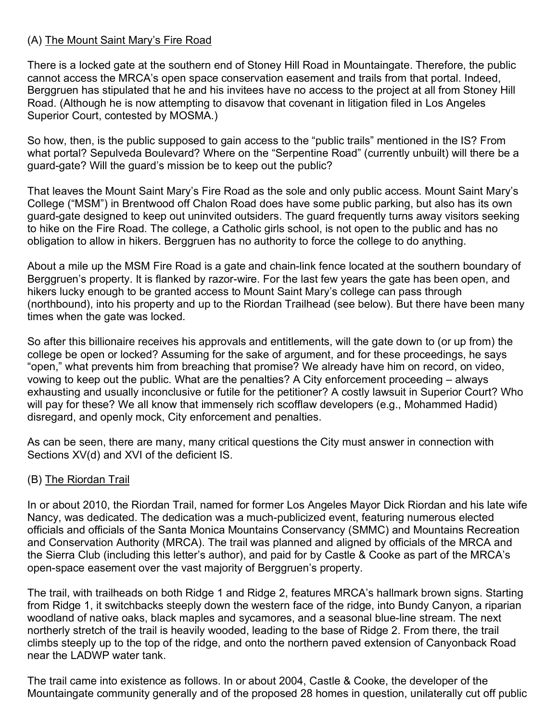# (A) The Mount Saint Mary's Fire Road

There is a locked gate at the southern end of Stoney Hill Road in Mountaingate. Therefore, the public cannot access the MRCA's open space conservation easement and trails from that portal. Indeed, Berggruen has stipulated that he and his invitees have no access to the project at all from Stoney Hill Road. (Although he is now attempting to disavow that covenant in litigation filed in Los Angeles Superior Court, contested by MOSMA.)

So how, then, is the public supposed to gain access to the "public trails" mentioned in the IS? From what portal? Sepulveda Boulevard? Where on the "Serpentine Road" (currently unbuilt) will there be a guard-gate? Will the guard's mission be to keep out the public?

That leaves the Mount Saint Mary's Fire Road as the sole and only public access. Mount Saint Mary's College ("MSM") in Brentwood off Chalon Road does have some public parking, but also has its own guard-gate designed to keep out uninvited outsiders. The guard frequently turns away visitors seeking to hike on the Fire Road. The college, a Catholic girls school, is not open to the public and has no obligation to allow in hikers. Berggruen has no authority to force the college to do anything.

About a mile up the MSM Fire Road is a gate and chain-link fence located at the southern boundary of Berggruen's property. It is flanked by razor-wire. For the last few years the gate has been open, and hikers lucky enough to be granted access to Mount Saint Mary's college can pass through (northbound), into his property and up to the Riordan Trailhead (see below). But there have been many times when the gate was locked.

So after this billionaire receives his approvals and entitlements, will the gate down to (or up from) the college be open or locked? Assuming for the sake of argument, and for these proceedings, he says "open," what prevents him from breaching that promise? We already have him on record, on video, vowing to keep out the public. What are the penalties? A City enforcement proceeding – always exhausting and usually inconclusive or futile for the petitioner? A costly lawsuit in Superior Court? Who will pay for these? We all know that immensely rich scofflaw developers (e.g., Mohammed Hadid) disregard, and openly mock, City enforcement and penalties.

As can be seen, there are many, many critical questions the City must answer in connection with Sections XV(d) and XVI of the deficient IS.

# (B) The Riordan Trail

In or about 2010, the Riordan Trail, named for former Los Angeles Mayor Dick Riordan and his late wife Nancy, was dedicated. The dedication was a much-publicized event, featuring numerous elected officials and officials of the Santa Monica Mountains Conservancy (SMMC) and Mountains Recreation and Conservation Authority (MRCA). The trail was planned and aligned by officials of the MRCA and the Sierra Club (including this letter's author), and paid for by Castle & Cooke as part of the MRCA's open-space easement over the vast majority of Berggruen's property.

The trail, with trailheads on both Ridge 1 and Ridge 2, features MRCA's hallmark brown signs. Starting from Ridge 1, it switchbacks steeply down the western face of the ridge, into Bundy Canyon, a riparian woodland of native oaks, black maples and sycamores, and a seasonal blue-line stream. The next northerly stretch of the trail is heavily wooded, leading to the base of Ridge 2. From there, the trail climbs steeply up to the top of the ridge, and onto the northern paved extension of Canyonback Road near the LADWP water tank.

The trail came into existence as follows. In or about 2004, Castle & Cooke, the developer of the Mountaingate community generally and of the proposed 28 homes in question, unilaterally cut off public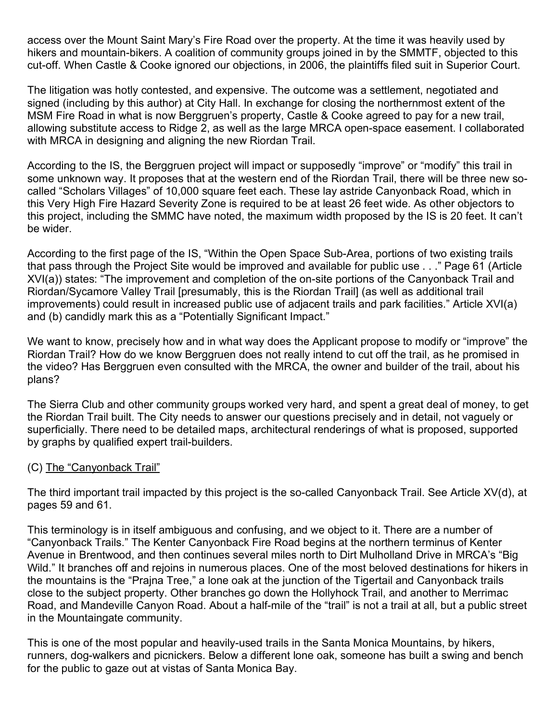access over the Mount Saint Mary's Fire Road over the property. At the time it was heavily used by hikers and mountain-bikers. A coalition of community groups joined in by the SMMTF, objected to this cut-off. When Castle & Cooke ignored our objections, in 2006, the plaintiffs filed suit in Superior Court.

The litigation was hotly contested, and expensive. The outcome was a settlement, negotiated and signed (including by this author) at City Hall. In exchange for closing the northernmost extent of the MSM Fire Road in what is now Berggruen's property, Castle & Cooke agreed to pay for a new trail, allowing substitute access to Ridge 2, as well as the large MRCA open-space easement. I collaborated with MRCA in designing and aligning the new Riordan Trail.

According to the IS, the Berggruen project will impact or supposedly "improve" or "modify" this trail in some unknown way. It proposes that at the western end of the Riordan Trail, there will be three new socalled "Scholars Villages" of 10,000 square feet each. These lay astride Canyonback Road, which in this Very High Fire Hazard Severity Zone is required to be at least 26 feet wide. As other objectors to this project, including the SMMC have noted, the maximum width proposed by the IS is 20 feet. It can't be wider.

According to the first page of the IS, "Within the Open Space Sub-Area, portions of two existing trails that pass through the Project Site would be improved and available for public use . . ." Page 61 (Article XVI(a)) states: "The improvement and completion of the on-site portions of the Canyonback Trail and Riordan/Sycamore Valley Trail [presumably, this is the Riordan Trail] (as well as additional trail improvements) could result in increased public use of adjacent trails and park facilities." Article XVI(a) and (b) candidly mark this as a "Potentially Significant Impact."

We want to know, precisely how and in what way does the Applicant propose to modify or "improve" the Riordan Trail? How do we know Berggruen does not really intend to cut off the trail, as he promised in the video? Has Berggruen even consulted with the MRCA, the owner and builder of the trail, about his plans?

The Sierra Club and other community groups worked very hard, and spent a great deal of money, to get the Riordan Trail built. The City needs to answer our questions precisely and in detail, not vaguely or superficially. There need to be detailed maps, architectural renderings of what is proposed, supported by graphs by qualified expert trail-builders.

### (C) The "Canyonback Trail"

The third important trail impacted by this project is the so-called Canyonback Trail. See Article XV(d), at pages 59 and 61.

This terminology is in itself ambiguous and confusing, and we object to it. There are a number of "Canyonback Trails." The Kenter Canyonback Fire Road begins at the northern terminus of Kenter Avenue in Brentwood, and then continues several miles north to Dirt Mulholland Drive in MRCA's "Big Wild." It branches off and rejoins in numerous places. One of the most beloved destinations for hikers in the mountains is the "Prajna Tree," a lone oak at the junction of the Tigertail and Canyonback trails close to the subject property. Other branches go down the Hollyhock Trail, and another to Merrimac Road, and Mandeville Canyon Road. About a half-mile of the "trail" is not a trail at all, but a public street in the Mountaingate community.

This is one of the most popular and heavily-used trails in the Santa Monica Mountains, by hikers, runners, dog-walkers and picnickers. Below a different lone oak, someone has built a swing and bench for the public to gaze out at vistas of Santa Monica Bay.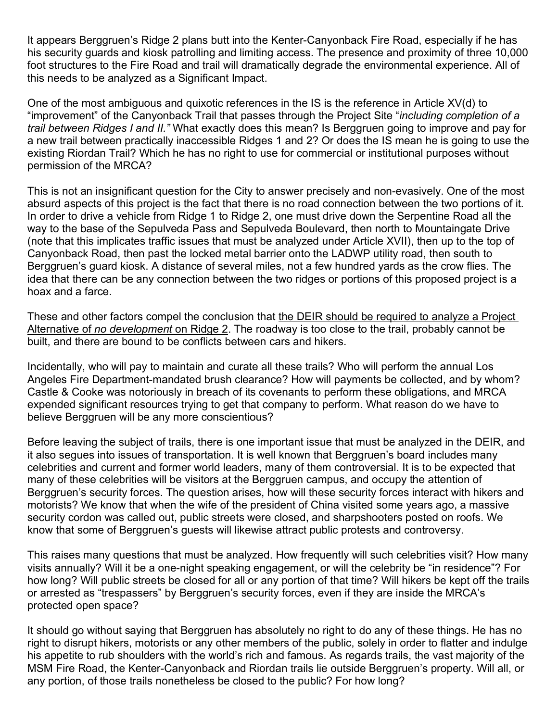It appears Berggruen's Ridge 2 plans butt into the Kenter-Canyonback Fire Road, especially if he has his security guards and kiosk patrolling and limiting access. The presence and proximity of three 10,000 foot structures to the Fire Road and trail will dramatically degrade the environmental experience. All of this needs to be analyzed as a Significant Impact.

One of the most ambiguous and quixotic references in the IS is the reference in Article XV(d) to "improvement" of the Canyonback Trail that passes through the Project Site "*including completion of a trail between Ridges I and II."* What exactly does this mean? Is Berggruen going to improve and pay for a new trail between practically inaccessible Ridges 1 and 2? Or does the IS mean he is going to use the existing Riordan Trail? Which he has no right to use for commercial or institutional purposes without permission of the MRCA?

This is not an insignificant question for the City to answer precisely and non-evasively. One of the most absurd aspects of this project is the fact that there is no road connection between the two portions of it. In order to drive a vehicle from Ridge 1 to Ridge 2, one must drive down the Serpentine Road all the way to the base of the Sepulveda Pass and Sepulveda Boulevard, then north to Mountaingate Drive (note that this implicates traffic issues that must be analyzed under Article XVII), then up to the top of Canyonback Road, then past the locked metal barrier onto the LADWP utility road, then south to Berggruen's guard kiosk. A distance of several miles, not a few hundred yards as the crow flies. The idea that there can be any connection between the two ridges or portions of this proposed project is a hoax and a farce.

These and other factors compel the conclusion that the DEIR should be required to analyze a Project Alternative of *no development* on Ridge 2. The roadway is too close to the trail, probably cannot be built, and there are bound to be conflicts between cars and hikers.

Incidentally, who will pay to maintain and curate all these trails? Who will perform the annual Los Angeles Fire Department-mandated brush clearance? How will payments be collected, and by whom? Castle & Cooke was notoriously in breach of its covenants to perform these obligations, and MRCA expended significant resources trying to get that company to perform. What reason do we have to believe Berggruen will be any more conscientious?

Before leaving the subject of trails, there is one important issue that must be analyzed in the DEIR, and it also segues into issues of transportation. It is well known that Berggruen's board includes many celebrities and current and former world leaders, many of them controversial. It is to be expected that many of these celebrities will be visitors at the Berggruen campus, and occupy the attention of Berggruen's security forces. The question arises, how will these security forces interact with hikers and motorists? We know that when the wife of the president of China visited some years ago, a massive security cordon was called out, public streets were closed, and sharpshooters posted on roofs. We know that some of Berggruen's guests will likewise attract public protests and controversy.

This raises many questions that must be analyzed. How frequently will such celebrities visit? How many visits annually? Will it be a one-night speaking engagement, or will the celebrity be "in residence"? For how long? Will public streets be closed for all or any portion of that time? Will hikers be kept off the trails or arrested as "trespassers" by Berggruen's security forces, even if they are inside the MRCA's protected open space?

It should go without saying that Berggruen has absolutely no right to do any of these things. He has no right to disrupt hikers, motorists or any other members of the public, solely in order to flatter and indulge his appetite to rub shoulders with the world's rich and famous. As regards trails, the vast majority of the MSM Fire Road, the Kenter-Canyonback and Riordan trails lie outside Berggruen's property. Will all, or any portion, of those trails nonetheless be closed to the public? For how long?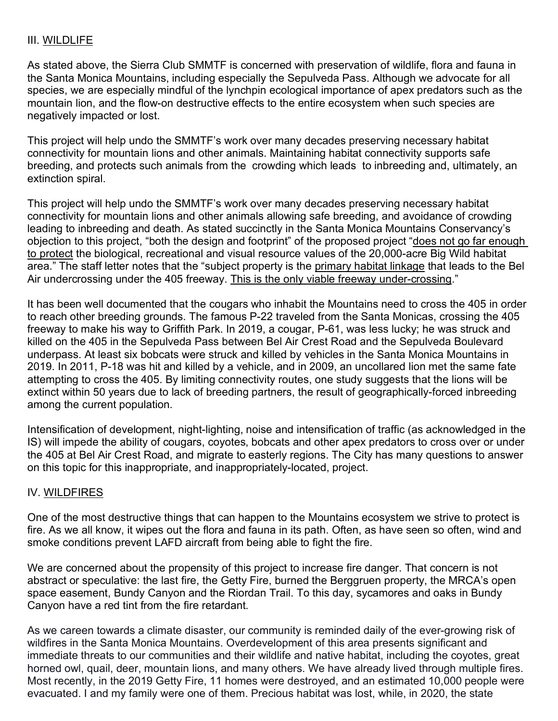## III. WILDLIFE

As stated above, the Sierra Club SMMTF is concerned with preservation of wildlife, flora and fauna in the Santa Monica Mountains, including especially the Sepulveda Pass. Although we advocate for all species, we are especially mindful of the lynchpin ecological importance of apex predators such as the mountain lion, and the flow-on destructive effects to the entire ecosystem when such species are negatively impacted or lost.

This project will help undo the SMMTF's work over many decades preserving necessary habitat connectivity for mountain lions and other animals. Maintaining habitat connectivity supports safe breeding, and protects such animals from the crowding which leads to inbreeding and, ultimately, an extinction spiral.

This project will help undo the SMMTF's work over many decades preserving necessary habitat connectivity for mountain lions and other animals allowing safe breeding, and avoidance of crowding leading to inbreeding and death. As stated succinctly in the Santa Monica Mountains Conservancy's objection to this project, "both the design and footprint" of the proposed project "does not go far enough to protect the biological, recreational and visual resource values of the 20,000-acre Big Wild habitat area." The staff letter notes that the "subject property is the primary habitat linkage that leads to the Bel Air undercrossing under the 405 freeway. This is the only viable freeway under-crossing."

It has been well documented that the cougars who inhabit the Mountains need to cross the 405 in order to reach other breeding grounds. The famous P-22 traveled from the Santa Monicas, crossing the 405 freeway to make his way to Griffith Park. In 2019, a cougar, P-61, was less lucky; he was struck and killed on the 405 in the Sepulveda Pass between Bel Air Crest Road and the Sepulveda Boulevard underpass. At least six bobcats were struck and killed by vehicles in the Santa Monica Mountains in 2019. In 2011, P-18 was hit and killed by a vehicle, and in 2009, an uncollared lion met the same fate attempting to cross the 405. By limiting connectivity routes, one study suggests that the lions will be extinct within 50 years due to lack of breeding partners, the result of geographically-forced inbreeding among the current population.

Intensification of development, night-lighting, noise and intensification of traffic (as acknowledged in the IS) will impede the ability of cougars, coyotes, bobcats and other apex predators to cross over or under the 405 at Bel Air Crest Road, and migrate to easterly regions. The City has many questions to answer on this topic for this inappropriate, and inappropriately-located, project.

### IV. WILDFIRES

One of the most destructive things that can happen to the Mountains ecosystem we strive to protect is fire. As we all know, it wipes out the flora and fauna in its path. Often, as have seen so often, wind and smoke conditions prevent LAFD aircraft from being able to fight the fire.

We are concerned about the propensity of this project to increase fire danger. That concern is not abstract or speculative: the last fire, the Getty Fire, burned the Berggruen property, the MRCA's open space easement, Bundy Canyon and the Riordan Trail. To this day, sycamores and oaks in Bundy Canyon have a red tint from the fire retardant.

As we careen towards a climate disaster, our community is reminded daily of the ever-growing risk of wildfires in the Santa Monica Mountains. Overdevelopment of this area presents significant and immediate threats to our communities and their wildlife and native habitat, including the coyotes, great horned owl, quail, deer, mountain lions, and many others. We have already lived through multiple fires. Most recently, in the 2019 Getty Fire, 11 homes were destroyed, and an estimated 10,000 people were evacuated. I and my family were one of them. Precious habitat was lost, while, in 2020, the state